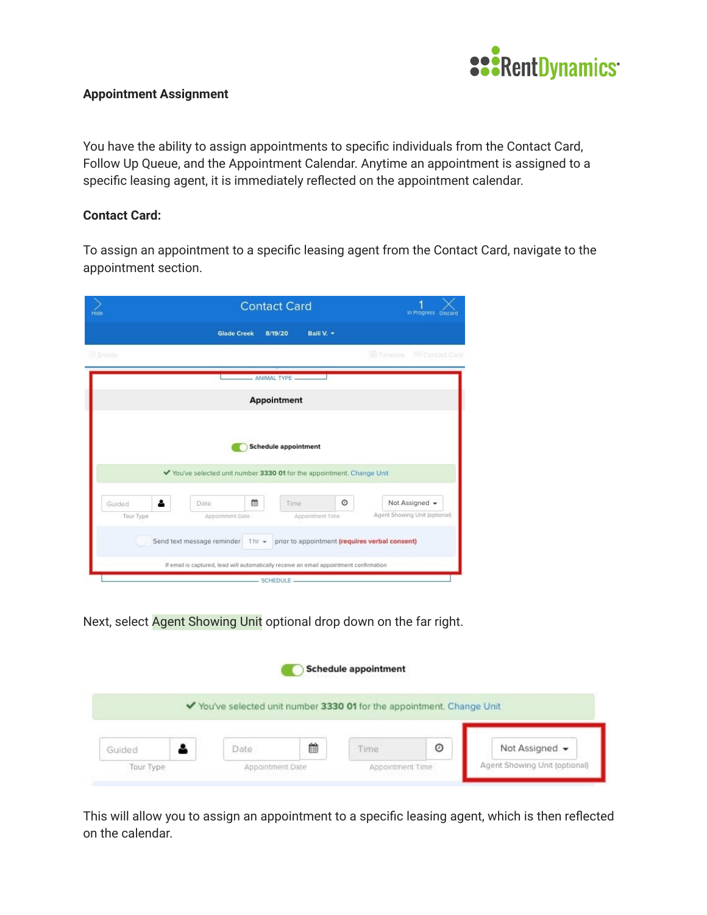

## **Appointment Assignment**

You have the ability to assign appointments to specific individuals from the Contact Card, Follow Up Queue, and the Appointment Calendar. Anytime an appointment is assigned to a specific leasing agent, it is immediately reflected on the appointment calendar.

## **Contact Card:**

To assign an appointment to a specific leasing agent from the Contact Card, navigate to the appointment section.

| <b>Contact Card</b><br>Hide |                                                                                                       | In Progress Discard |                                                |
|-----------------------------|-------------------------------------------------------------------------------------------------------|---------------------|------------------------------------------------|
|                             | <b>Glade Creek</b><br>8/19/20                                                                         | Baili V. -          |                                                |
| @ Emails                    |                                                                                                       |                     | <b>ER Contact Card</b><br><b>El Timeline</b>   |
|                             | - ANIMAL TYPE -                                                                                       |                     |                                                |
|                             | <b>Appointment</b>                                                                                    |                     |                                                |
|                             | <b>Schedule appointment</b><br>◆ You've selected unit number 3330 01 for the appointment. Change Unit |                     |                                                |
| Δ<br>Guided                 | 鱛<br>Date<br>Time                                                                                     | $\circ$             | Not Assigned -                                 |
| Tour Type                   | Appointment Date                                                                                      | Appointment Time    | Agent Showing Unit (optional)                  |
|                             | Send text message reminder<br>$1hr -$                                                                 |                     | prior to appointment (requires verbal consent) |
|                             | If email is captured, lead will automatically receive an email appointment confirmation               |                     |                                                |
|                             | SCHEDULE                                                                                              |                     |                                                |

Next, select Agent Showing Unit optional drop down on the far right.

|        |                                                                        |   | <b>Schedule appointment</b> |         |                |
|--------|------------------------------------------------------------------------|---|-----------------------------|---------|----------------|
|        | ◆ You've selected unit number 3330 01 for the appointment. Change Unit |   |                             |         |                |
|        |                                                                        |   |                             |         |                |
| Guided | Date                                                                   | ₿ | Time                        | $\odot$ | Not Assigned - |

This will allow you to assign an appointment to a specific leasing agent, which is then reflected on the calendar.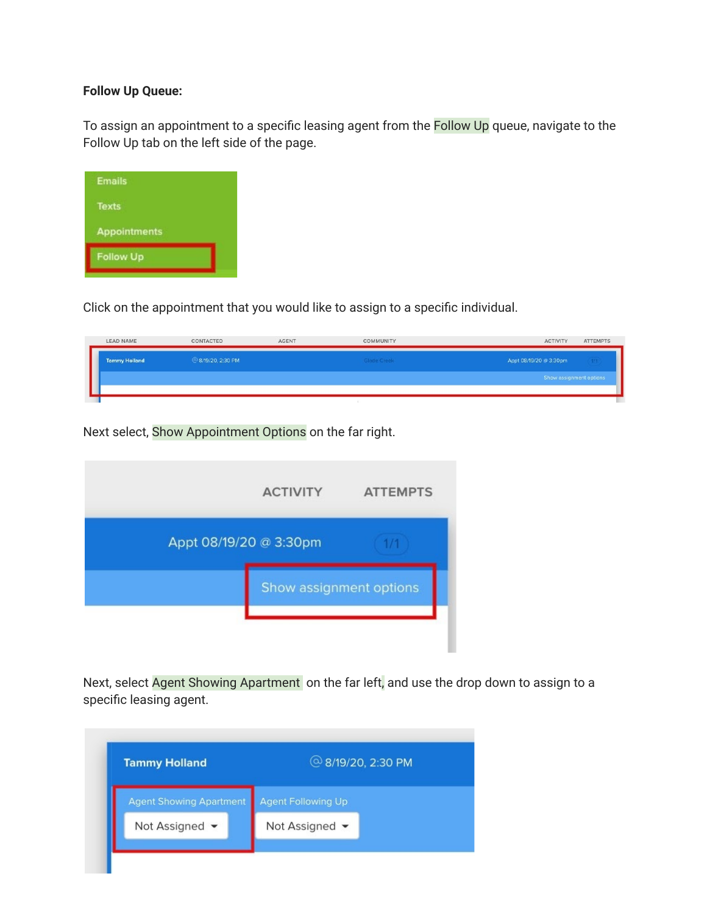## **Follow Up Queue:**

To assign an appointment to a specific leasing agent from the Follow Up queue, navigate to the Follow Up tab on the left side of the page.



Click on the appointment that you would like to assign to a specific individual.

| <b>LEAD NAME</b>     | CONTACTED         | <b>AGENT</b> | COMMUNITY   | <b>ATTEMPTS</b><br><b>ACTIVITY</b> |
|----------------------|-------------------|--------------|-------------|------------------------------------|
| <b>Tammy Holland</b> | @8/19/20, 2:30 PM |              | Glade Creek | Appt 08/19/20 @ 3:30pm<br>$-777$   |
|                      |                   |              |             | Show assignment options            |
|                      |                   |              |             |                                    |

Next select, Show Appointment Options on the far right.

|                        | <b>ACTIVITY</b>         | <b>ATTEMPTS</b> |
|------------------------|-------------------------|-----------------|
| Appt 08/19/20 @ 3:30pm |                         | 1/1             |
|                        | Show assignment options |                 |
|                        |                         |                 |

Next, select Agent Showing Apartment on the far left, and use the drop down to assign to a specific leasing agent.

| <b>Tammy Holland</b>           | 2:30 PM                   |  |
|--------------------------------|---------------------------|--|
| <b>Agent Showing Apartment</b> | <b>Agent Following Up</b> |  |
| Not Assigned •                 | Not Assigned •            |  |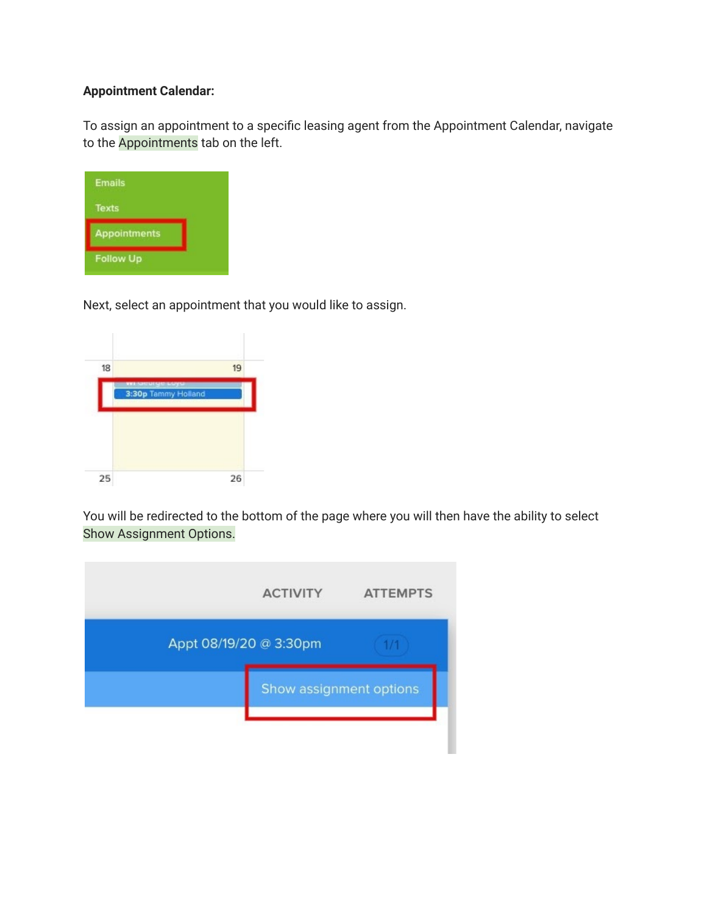## **Appointment Calendar:**

To assign an appointment to a specific leasing agent from the Appointment Calendar, navigate to the Appointments tab on the left.

| <b>Emails</b>       |  |
|---------------------|--|
| <b>Texts</b>        |  |
| <b>Appointments</b> |  |
| <b>Follow Up</b>    |  |

Next, select an appointment that you would like to assign.



You will be redirected to the bottom of the page where you will then have the ability to select Show Assignment Options.